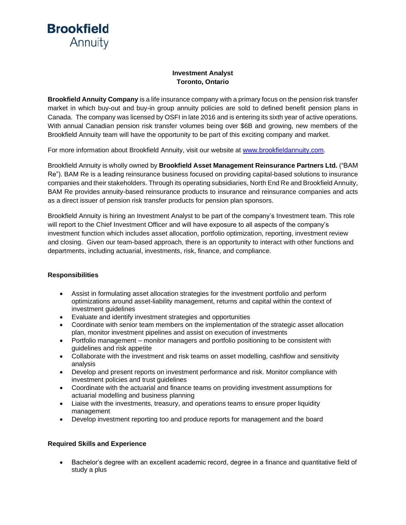**Brookfield** Annuity

## **Investment Analyst Toronto, Ontario**

**Brookfield Annuity Company** is a life insurance company with a primary focus on the pension risk transfer market in which buy-out and buy-in group annuity policies are sold to defined benefit pension plans in Canada. The company was licensed by OSFI in late 2016 and is entering its sixth year of active operations. With annual Canadian pension risk transfer volumes being over \$6B and growing, new members of the Brookfield Annuity team will have the opportunity to be part of this exciting company and market.

For more information about Brookfield Annuity, visit our website at [www.brookfieldannuity.com.](http://www.brookfieldannuity.com/)

Brookfield Annuity is wholly owned by **Brookfield Asset Management Reinsurance Partners Ltd.** ("BAM Re"). BAM Re is a leading reinsurance business focused on providing capital-based solutions to insurance companies and their stakeholders. Through its operating subsidiaries, North End Reand Brookfield Annuity, BAM Re provides annuity-based reinsurance products to insurance and reinsurance companies and acts as a direct issuer of pension risk transfer products for pension plan sponsors.

Brookfield Annuity is hiring an Investment Analyst to be part of the company's Investment team. This role will report to the Chief Investment Officer and will have exposure to all aspects of the company's investment function which includes asset allocation, portfolio optimization, reporting, investment review and closing. Given our team-based approach, there is an opportunity to interact with other functions and departments, including actuarial, investments, risk, finance, and compliance.

## **Responsibilities**

- Assist in formulating asset allocation strategies for the investment portfolio and perform optimizations around asset-liability management, returns and capital within the context of investment guidelines
- Evaluate and identify investment strategies and opportunities
- Coordinate with senior team members on the implementation of the strategic asset allocation plan, monitor investment pipelines and assist on execution of investments
- Portfolio management monitor managers and portfolio positioning to be consistent with guidelines and risk appetite
- Collaborate with the investment and risk teams on asset modelling, cashflow and sensitivity analysis
- Develop and present reports on investment performance and risk. Monitor compliance with investment policies and trust guidelines
- Coordinate with the actuarial and finance teams on providing investment assumptions for actuarial modelling and business planning
- Liaise with the investments, treasury, and operations teams to ensure proper liquidity management
- Develop investment reporting too and produce reports for management and the board

## **Required Skills and Experience**

• Bachelor's degree with an excellent academic record, degree in a finance and quantitative field of study a plus